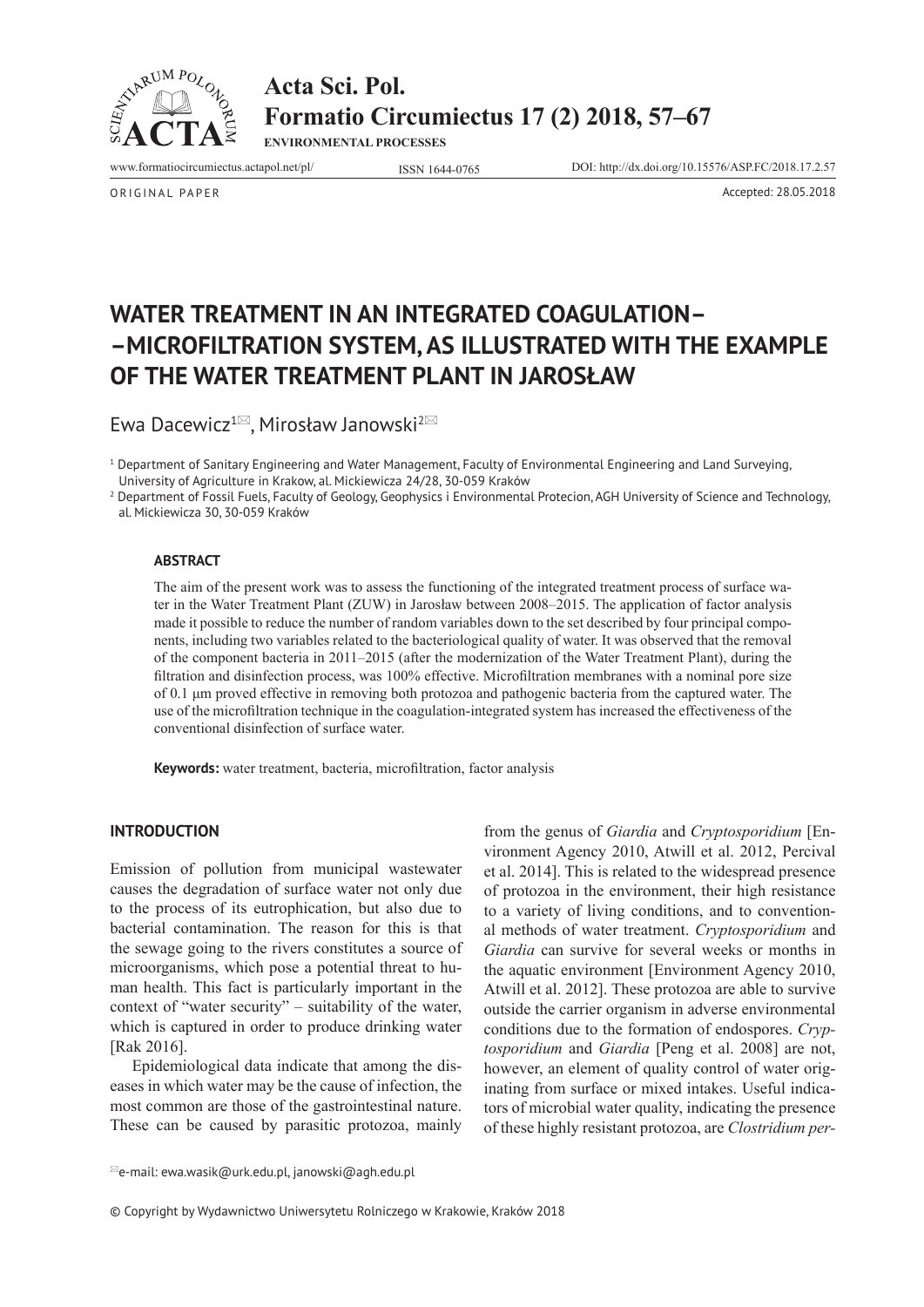



**ENVIRONMENTAL PROCESSES**

www.formatiocircumiectus.actapol.net/pl/ ISSN 1644-0765 DOI: http://dx.doi.org/10.15576/ASP.FC/2018.17.2.57

ORIGINAL PAPER Accepted: 28.05.2018

# **WATER TREATMENT IN AN INTEGRATED COAGULATION– –MICROFILTRATION SYSTEM, AS ILLUSTRATED WITH THE EXAMPLE OF THE WATER TREATMENT PLANT IN JAROSŁAW**

Ewa Dacewicz<sup>1 $\boxtimes$ </sup>, Mirosław Janowski<sup>2 $\boxtimes$ </sup>

1 Department of Sanitary Engineering and Water Management, Faculty of Environmental Engineering and Land Surveying, University of Agriculture in Krakow, al. Mickiewicza 24/28, 30-059 Kraków

2 Department of Fossil Fuels, Faculty of Geology, Geophysics i Environmental Protecion, AGH University of Science and Technology, al. Mickiewicza 30, 30-059 Kraków

#### **ABSTRACT**

The aim of the present work was to assess the functioning of the integrated treatment process of surface water in the Water Treatment Plant (ZUW) in Jarosław between 2008–2015. The application of factor analysis made it possible to reduce the number of random variables down to the set described by four principal components, including two variables related to the bacteriological quality of water. It was observed that the removal of the component bacteria in 2011–2015 (after the modernization of the Water Treatment Plant), during the filtration and disinfection process, was 100% effective. Microfiltration membranes with a nominal pore size of 0.1 μm proved effective in removing both protozoa and pathogenic bacteria from the captured water. The use of the microfiltration technique in the coagulation-integrated system has increased the effectiveness of the conventional disinfection of surface water.

**Keywords:** water treatment, bacteria, microfiltration, factor analysis

## **INTRODUCTION**

Emission of pollution from municipal wastewater causes the degradation of surface water not only due to the process of its eutrophication, but also due to bacterial contamination. The reason for this is that the sewage going to the rivers constitutes a source of microorganisms, which pose a potential threat to human health. This fact is particularly important in the context of "water security" – suitability of the water, which is captured in order to produce drinking water [Rak 2016].

Epidemiological data indicate that among the diseases in which water may be the cause of infection, the most common are those of the gastrointestinal nature. These can be caused by parasitic protozoa, mainly from the genus of *Giardia* and *Cryptosporidium* [Environment Agency 2010, Atwill et al. 2012, Percival et al. 2014]. This is related to the widespread presence of protozoa in the environment, their high resistance to a variety of living conditions, and to conventional methods of water treatment. *Cryptosporidium* and *Giardia* can survive for several weeks or months in the aquatic environment [Environment Agency 2010, Atwill et al. 2012]. These protozoa are able to survive outside the carrier organism in adverse environmental conditions due to the formation of endospores. *Cryptosporidium* and *Giardia* [Peng et al. 2008] are not, however, an element of quality control of water originating from surface or mixed intakes. Useful indicators of microbial water quality, indicating the presence of these highly resistant protozoa, are *Clostridium per-*

© Copyright by Wydawnictwo Uniwersytetu Rolniczego w Krakowie, Kraków 2018

 $^{\boxtimes}$ e-mail: ewa.wasik@urk.edu.pl, janowski@agh.edu.pl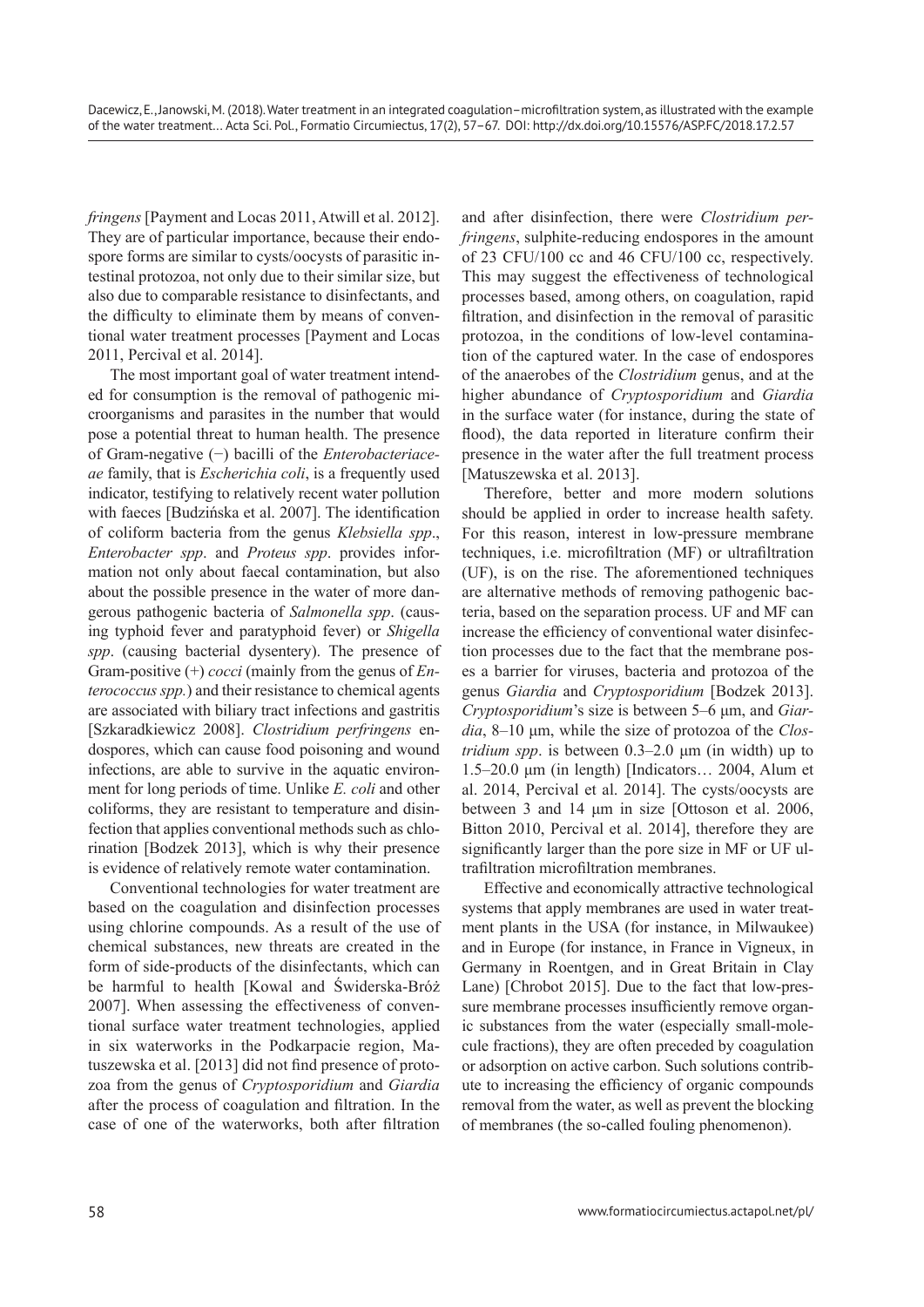*fringens* [Payment and Locas 2011, Atwill et al. 2012]. They are of particular importance, because their endospore forms are similar to cysts/oocysts of parasitic intestinal protozoa, not only due to their similar size, but also due to comparable resistance to disinfectants, and the difficulty to eliminate them by means of conventional water treatment processes [Payment and Locas 2011, Percival et al. 2014].

The most important goal of water treatment intended for consumption is the removal of pathogenic microorganisms and parasites in the number that would pose a potential threat to human health. The presence of Gram-negative (−) bacilli of the *Enterobacteriaceae* family, that is *Escherichia coli*, is a frequently used indicator, testifying to relatively recent water pollution with faeces [Budzińska et al. 2007]. The identification of coliform bacteria from the genus *Klebsiella spp*., *Enterobacter spp*. and *Proteus spp*. provides information not only about faecal contamination, but also about the possible presence in the water of more dangerous pathogenic bacteria of *Salmonella spp*. (causing typhoid fever and paratyphoid fever) or *Shigella spp*. (causing bacterial dysentery). The presence of Gram-positive (+) *cocci* (mainly from the genus of *Enterococcus spp.*) and their resistance to chemical agents are associated with biliary tract infections and gastritis [Szkaradkiewicz 2008]. *Clostridium perfringens* endospores, which can cause food poisoning and wound infections, are able to survive in the aquatic environment for long periods of time. Unlike *E. coli* and other coliforms, they are resistant to temperature and disinfection that applies conventional methods such as chlorination [Bodzek 2013], which is why their presence is evidence of relatively remote water contamination.

Conventional technologies for water treatment are based on the coagulation and disinfection processes using chlorine compounds. As a result of the use of chemical substances, new threats are created in the form of side-products of the disinfectants, which can be harmful to health [Kowal and Świderska-Bróż 2007]. When assessing the effectiveness of conventional surface water treatment technologies, applied in six waterworks in the Podkarpacie region, Matuszewska et al. [2013] did not find presence of protozoa from the genus of *Cryptosporidium* and *Giardia* after the process of coagulation and filtration. In the case of one of the waterworks, both after filtration

and after disinfection, there were *Clostridium perfringens*, sulphite-reducing endospores in the amount of 23 CFU/100 cc and 46 CFU/100 cc, respectively. This may suggest the effectiveness of technological processes based, among others, on coagulation, rapid filtration, and disinfection in the removal of parasitic protozoa, in the conditions of low-level contamination of the captured water. In the case of endospores of the anaerobes of the *Clostridium* genus, and at the higher abundance of *Cryptosporidium* and *Giardia* in the surface water (for instance, during the state of flood), the data reported in literature confirm their presence in the water after the full treatment process [Matuszewska et al. 2013].

Therefore, better and more modern solutions should be applied in order to increase health safety. For this reason, interest in low-pressure membrane techniques, i.e. microfiltration (MF) or ultrafiltration (UF), is on the rise. The aforementioned techniques are alternative methods of removing pathogenic bacteria, based on the separation process. UF and MF can increase the efficiency of conventional water disinfection processes due to the fact that the membrane poses a barrier for viruses, bacteria and protozoa of the genus *Giardia* and *Cryptosporidium* [Bodzek 2013]. *Cryptosporidium*'s size is between 5–6 μm, and *Giardia*, 8–10 μm, while the size of protozoa of the *Clostridium spp*. is between 0.3–2.0 μm (in width) up to 1.5–20.0 μm (in length) [Indicators… 2004, Alum et al. 2014, Percival et al. 2014]. The cysts/oocysts are between 3 and 14 μm in size [Ottoson et al. 2006, Bitton 2010, Percival et al. 2014], therefore they are significantly larger than the pore size in MF or UF ultrafiltration microfiltration membranes.

Effective and economically attractive technological systems that apply membranes are used in water treatment plants in the USA (for instance, in Milwaukee) and in Europe (for instance, in France in Vigneux, in Germany in Roentgen, and in Great Britain in Clay Lane) [Chrobot 2015]. Due to the fact that low-pressure membrane processes insufficiently remove organic substances from the water (especially small-molecule fractions), they are often preceded by coagulation or adsorption on active carbon. Such solutions contribute to increasing the efficiency of organic compounds removal from the water, as well as prevent the blocking of membranes (the so-called fouling phenomenon).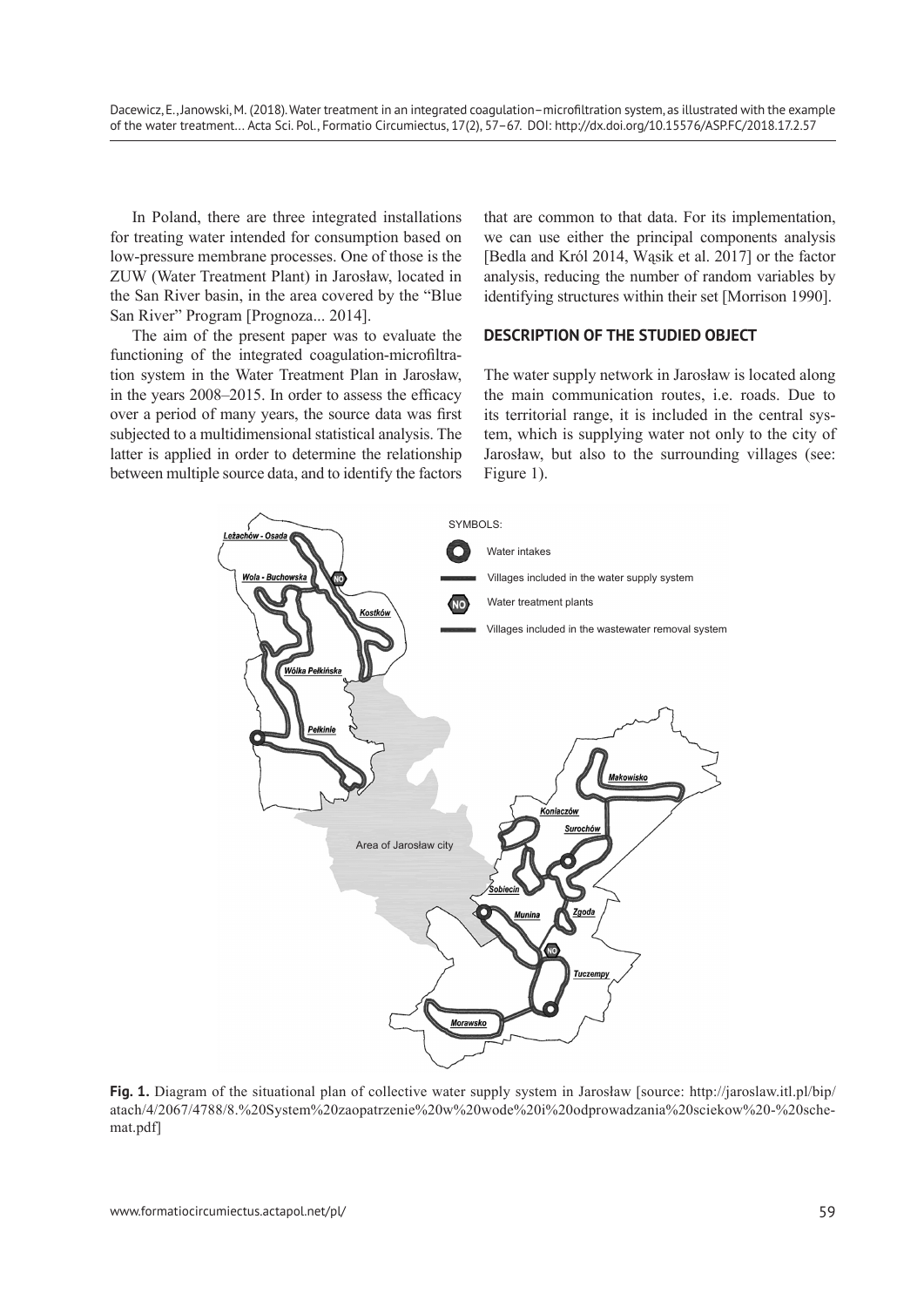In Poland, there are three integrated installations for treating water intended for consumption based on low-pressure membrane processes. One of those is the ZUW (Water Treatment Plant) in Jarosław, located in the San River basin, in the area covered by the "Blue San River" Program [Prognoza... 2014].

The aim of the present paper was to evaluate the functioning of the integrated coagulation-microfiltration system in the Water Treatment Plan in Jarosław, in the years 2008–2015. In order to assess the efficacy over a period of many years, the source data was first subjected to a multidimensional statistical analysis. The latter is applied in order to determine the relationship between multiple source data, and to identify the factors that are common to that data. For its implementation, we can use either the principal components analysis [Bedla and Król 2014, Wąsik et al. 2017] or the factor analysis, reducing the number of random variables by identifying structures within their set [Morrison 1990].

## **DESCRIPTION OF THE STUDIED OBJECT**

The water supply network in Jarosław is located along the main communication routes, i.e. roads. Due to its territorial range, it is included in the central system, which is supplying water not only to the city of Jarosław, but also to the surrounding villages (see: Figure 1).



**Fig. 1.** Diagram of the situational plan of collective water supply system in Jarosław [source: http://jaroslaw.itl.pl/bip/ atach/4/2067/4788/8.%20System%20zaopatrzenie%20w%20wode%20i%20odprowadzania%20sciekow%20-%20schemat.pdf]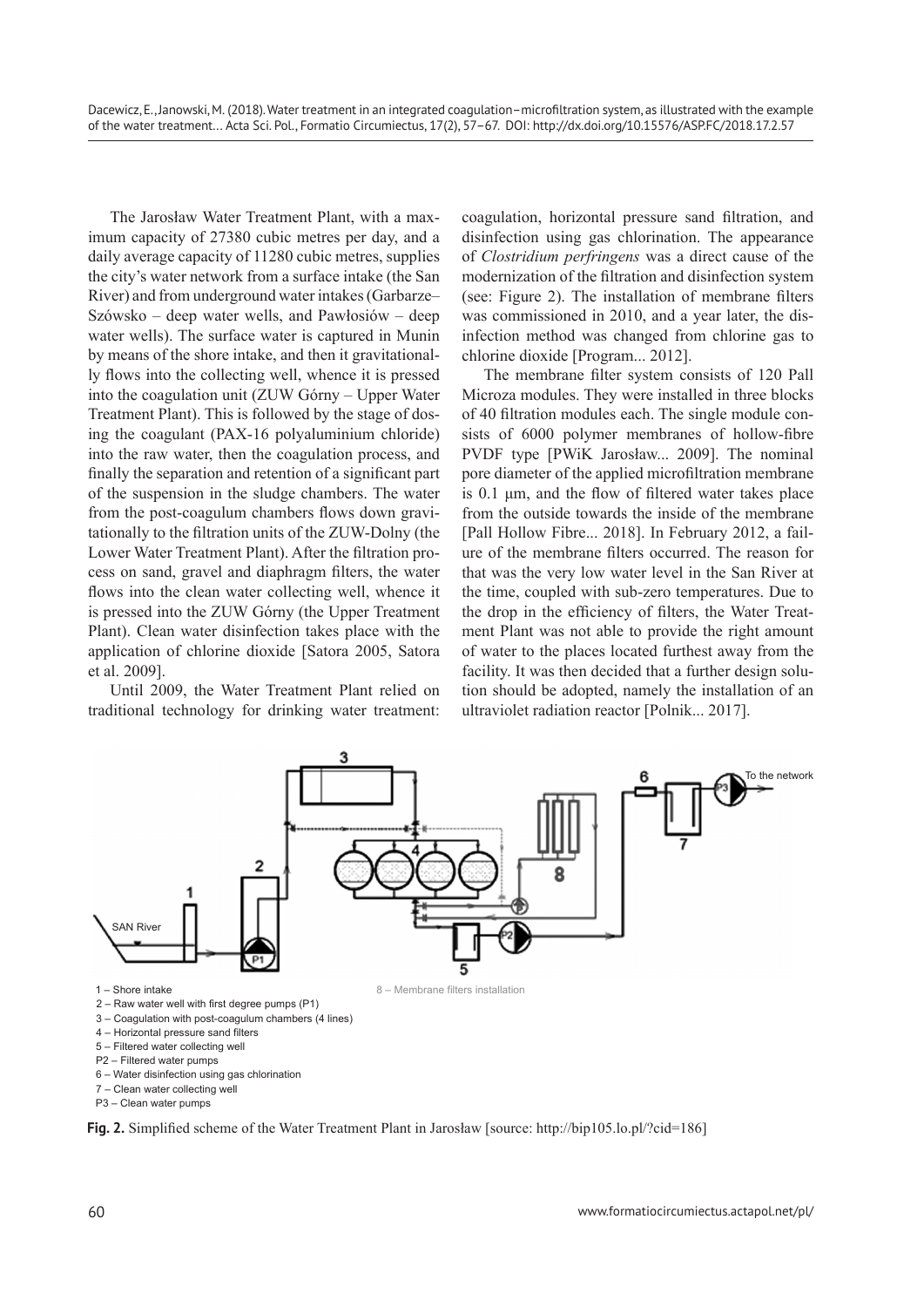The Jarosław Water Treatment Plant, with a maximum capacity of 27380 cubic metres per day, and a daily average capacity of 11280 cubic metres, supplies the city's water network from a surface intake (the San River) and from underground water intakes (Garbarze– Szówsko – deep water wells, and Pawłosiów – deep water wells). The surface water is captured in Munin by means of the shore intake, and then it gravitationally flows into the collecting well, whence it is pressed into the coagulation unit (ZUW Górny – Upper Water Treatment Plant). This is followed by the stage of dosing the coagulant (PAX-16 polyaluminium chloride) into the raw water, then the coagulation process, and finally the separation and retention of a significant part of the suspension in the sludge chambers. The water from the post-coagulum chambers flows down gravitationally to the filtration units of the ZUW-Dolny (the Lower Water Treatment Plant). After the filtration process on sand, gravel and diaphragm filters, the water flows into the clean water collecting well, whence it is pressed into the ZUW Górny (the Upper Treatment Plant). Clean water disinfection takes place with the application of chlorine dioxide [Satora 2005, Satora et al. 2009].

Until 2009, the Water Treatment Plant relied on traditional technology for drinking water treatment: coagulation, horizontal pressure sand filtration, and disinfection using gas chlorination. The appearance of *Clostridium perfringens* was a direct cause of the modernization of the filtration and disinfection system (see: Figure 2). The installation of membrane filters was commissioned in 2010, and a year later, the disinfection method was changed from chlorine gas to chlorine dioxide [Program... 2012].

The membrane filter system consists of 120 Pall Microza modules. They were installed in three blocks of 40 filtration modules each. The single module consists of 6000 polymer membranes of hollow-fibre PVDF type [PWiK Jarosław... 2009]. The nominal pore diameter of the applied microfiltration membrane is 0.1 μm, and the flow of filtered water takes place from the outside towards the inside of the membrane [Pall Hollow Fibre... 2018]. In February 2012, a failure of the membrane filters occurred. The reason for that was the very low water level in the San River at the time, coupled with sub-zero temperatures. Due to the drop in the efficiency of filters, the Water Treatment Plant was not able to provide the right amount of water to the places located furthest away from the facility. It was then decided that a further design solution should be adopted, namely the installation of an ultraviolet radiation reactor [Polnik... 2017].



**Fig. 2.** Simplified scheme of the Water Treatment Plant in Jarosław [source: http://bip105.lo.pl/?cid=186]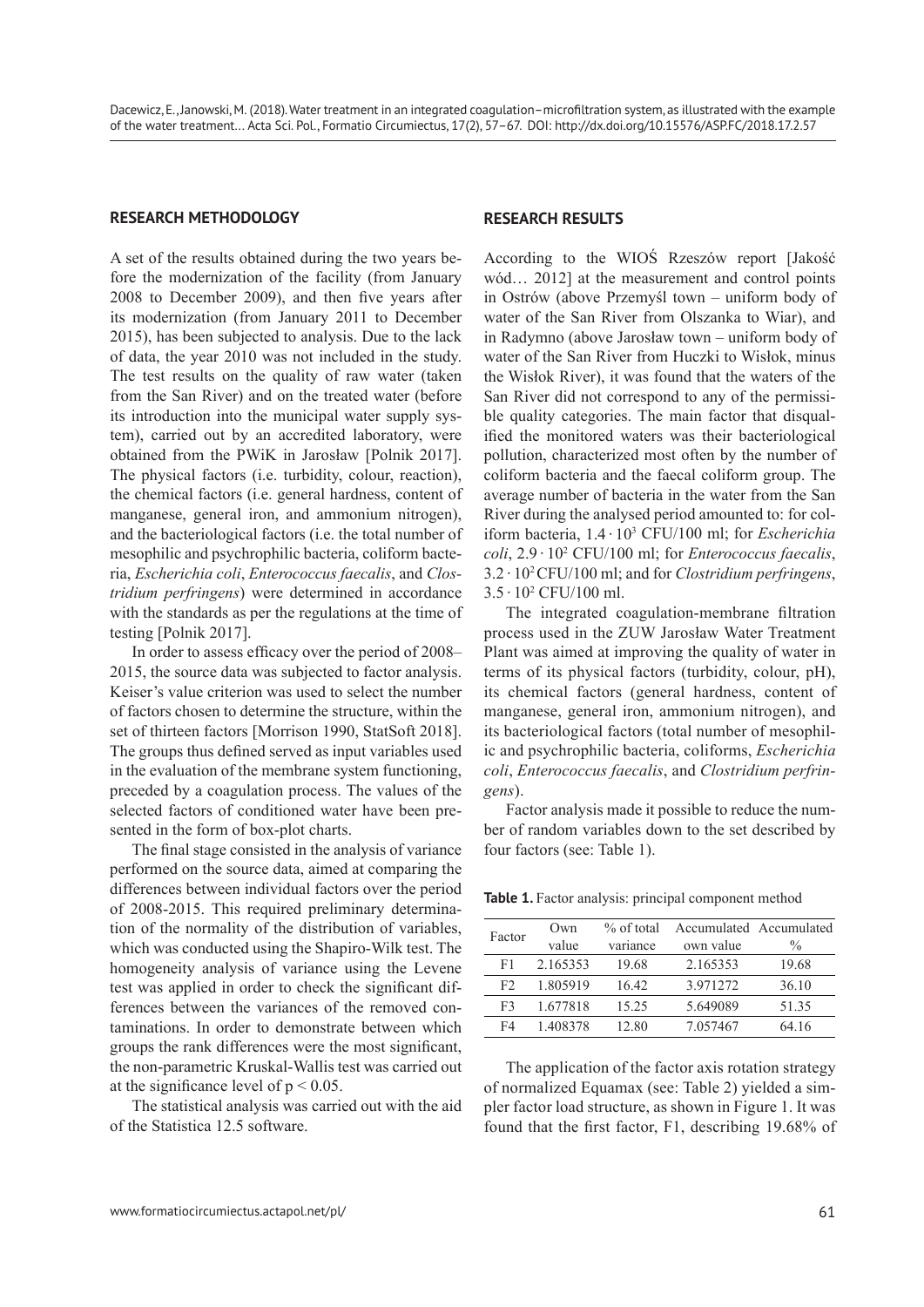## **RESEARCH METHODOLOGY**

A set of the results obtained during the two years before the modernization of the facility (from January 2008 to December 2009), and then five years after its modernization (from January 2011 to December 2015), has been subjected to analysis. Due to the lack of data, the year 2010 was not included in the study. The test results on the quality of raw water (taken from the San River) and on the treated water (before its introduction into the municipal water supply system), carried out by an accredited laboratory, were obtained from the PWiK in Jarosław [Polnik 2017]. The physical factors (i.e. turbidity, colour, reaction), the chemical factors (i.e. general hardness, content of manganese, general iron, and ammonium nitrogen), and the bacteriological factors (i.e. the total number of mesophilic and psychrophilic bacteria, coliform bacteria, *Escherichia coli*, *Enterococcus faecalis*, and *Clostridium perfringens*) were determined in accordance with the standards as per the regulations at the time of testing [Polnik 2017].

In order to assess efficacy over the period of 2008– 2015, the source data was subjected to factor analysis. Keiser's value criterion was used to select the number of factors chosen to determine the structure, within the set of thirteen factors [Morrison 1990, StatSoft 2018]. The groups thus defined served as input variables used in the evaluation of the membrane system functioning, preceded by a coagulation process. The values of the selected factors of conditioned water have been presented in the form of box-plot charts.

The final stage consisted in the analysis of variance performed on the source data, aimed at comparing the differences between individual factors over the period of 2008-2015. This required preliminary determination of the normality of the distribution of variables, which was conducted using the Shapiro-Wilk test. The homogeneity analysis of variance using the Levene test was applied in order to check the significant differences between the variances of the removed contaminations. In order to demonstrate between which groups the rank differences were the most significant, the non-parametric Kruskal-Wallis test was carried out at the significance level of  $p < 0.05$ .

The statistical analysis was carried out with the aid of the Statistica 12.5 software.

## **RESEARCH RESULTS**

According to the WIOŚ Rzeszów report [Jakość wód… 2012] at the measurement and control points in Ostrów (above Przemyśl town – uniform body of water of the San River from Olszanka to Wiar), and in Radymno (above Jarosław town – uniform body of water of the San River from Huczki to Wisłok, minus the Wisłok River), it was found that the waters of the San River did not correspond to any of the permissible quality categories. The main factor that disqualified the monitored waters was their bacteriological pollution, characterized most often by the number of coliform bacteria and the faecal coliform group. The average number of bacteria in the water from the San River during the analysed period amounted to: for coliform bacteria, 1.4 · 103 CFU/100 ml; for *Escherichia coli*, 2.9 · 10<sup>2</sup> CFU/100 ml; for *Enterococcus faecalis*, 3.2 · 102 CFU/100 ml; and for *Clostridium perfringens*, 3.5 · 10<sup>2</sup> CFU/100 ml.

The integrated coagulation-membrane filtration process used in the ZUW Jarosław Water Treatment Plant was aimed at improving the quality of water in terms of its physical factors (turbidity, colour, pH), its chemical factors (general hardness, content of manganese, general iron, ammonium nitrogen), and its bacteriological factors (total number of mesophilic and psychrophilic bacteria, coliforms, *Escherichia coli*, *Enterococcus faecalis*, and *Clostridium perfringens*).

Factor analysis made it possible to reduce the number of random variables down to the set described by four factors (see: Table 1).

| Factor | Own      | $%$ of total |           | Accumulated Accumulated |
|--------|----------|--------------|-----------|-------------------------|
|        | value    | variance     | own value | $\frac{0}{0}$           |
| F1     | 2.165353 | 19.68        | 2.165353  | 19.68                   |
| F2     | 1.805919 | 16.42        | 3.971272  | 36.10                   |
| F3     | 1.677818 | 15.25        | 5.649089  | 51 35                   |
| FΔ     | 1408378  | 12.80        | 7.057467  | 64 16                   |

Table 1. Factor analysis: principal component method

The application of the factor axis rotation strategy of normalized Equamax (see: Table 2) yielded a simpler factor load structure, as shown in Figure 1. It was found that the first factor, F1, describing 19.68% of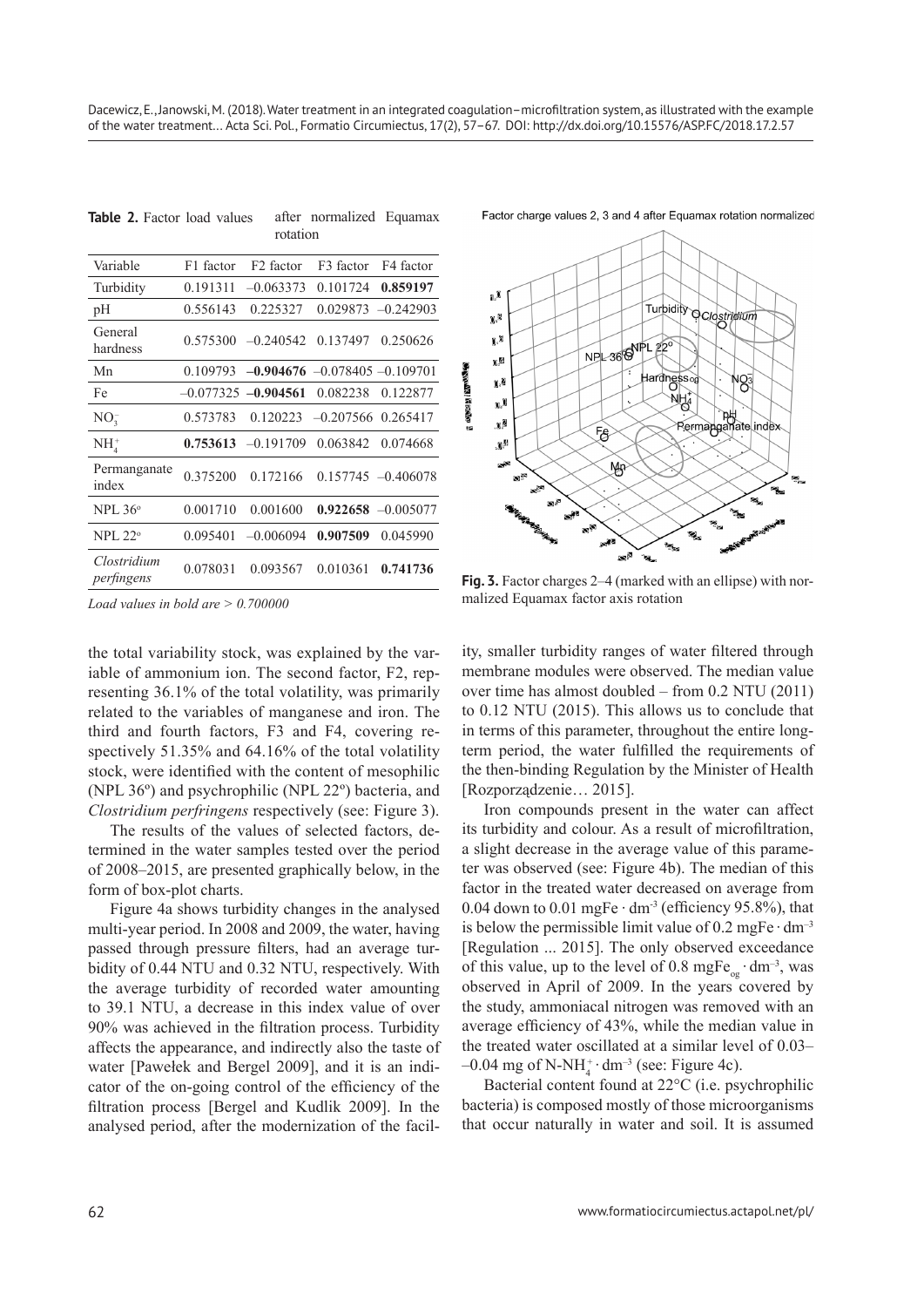|                           | rotation    |                       |                                   |                       |  |  |
|---------------------------|-------------|-----------------------|-----------------------------------|-----------------------|--|--|
| Variable                  | F1 factor   | F <sub>2</sub> factor | F <sub>3</sub> factor             | F4 factor             |  |  |
| Turbidity                 | 0.191311    | $-0.063373$           | 0.101724                          | 0.859197              |  |  |
| pH                        | 0.556143    | 0.225327              | 0.029873                          | $-0.242903$           |  |  |
| General<br>hardness       | 0.575300    | $-0.240542$           | 0.137497                          | 0.250626              |  |  |
| Mn                        | 0.109793    |                       | $-0.904676 - 0.078405 - 0.109701$ |                       |  |  |
| Fe                        | $-0.077325$ | $-0.904561$           | 0.082238                          | 0.122877              |  |  |
| NO <sub>3</sub>           | 0.573783    | 0.120223              | $-0.207566$                       | 0.265417              |  |  |
| $NH4+$                    | 0.753613    | $-0.191709$           | 0.063842                          | 0.074668              |  |  |
| Permanganate<br>index     | 0.375200    | 0.172166              |                                   | $0.157745 - 0.406078$ |  |  |
| $NPL 36^\circ$            | 0.001710    | 0.001600              |                                   | $0.922658 - 0.005077$ |  |  |
| NPI. 22 <sup>o</sup>      | 0.095401    | $-0.006094$           | 0.907509                          | 0.045990              |  |  |
| Clostridium<br>perfingens | 0.078031    | 0.093567              | 0.010361                          | 0.741736              |  |  |

**Table 2.** Factor load values after normalized Equamax

*Load values in bold are > 0.700000*

the total variability stock, was explained by the variable of ammonium ion. The second factor, F2, representing 36.1% of the total volatility, was primarily related to the variables of manganese and iron. The third and fourth factors, F3 and F4, covering respectively 51.35% and 64.16% of the total volatility stock, were identified with the content of mesophilic (NPL 36º) and psychrophilic (NPL 22º) bacteria, and *Clostridium perfringens* respectively (see: Figure 3).

The results of the values of selected factors, determined in the water samples tested over the period of 2008–2015, are presented graphically below, in the form of box-plot charts.

Figure 4a shows turbidity changes in the analysed multi-year period. In 2008 and 2009, the water, having passed through pressure filters, had an average turbidity of 0.44 NTU and 0.32 NTU, respectively. With the average turbidity of recorded water amounting to 39.1 NTU, a decrease in this index value of over 90% was achieved in the filtration process. Turbidity affects the appearance, and indirectly also the taste of water [Pawełek and Bergel 2009], and it is an indicator of the on-going control of the efficiency of the filtration process [Bergel and Kudlik 2009]. In the analysed period, after the modernization of the facilFactor charge values 2, 3 and 4 after Equamax rotation normalized



**Fig. 3.** Factor charges 2–4 (marked with an ellipse) with normalized Equamax factor axis rotation

ity, smaller turbidity ranges of water filtered through membrane modules were observed. The median value over time has almost doubled – from 0.2 NTU (2011) to 0.12 NTU (2015). This allows us to conclude that in terms of this parameter, throughout the entire longterm period, the water fulfilled the requirements of the then-binding Regulation by the Minister of Health [Rozporządzenie… 2015].

Iron compounds present in the water can affect its turbidity and colour. As a result of microfiltration, a slight decrease in the average value of this parameter was observed (see: Figure 4b). The median of this factor in the treated water decreased on average from 0.04 down to 0.01 mgFe  $\cdot$  dm<sup>-3</sup> (efficiency 95.8%), that is below the permissible limit value of  $0.2$  mgFe $\cdot$  dm<sup>-3</sup> [Regulation ... 2015]. The only observed exceedance of this value, up to the level of 0.8 mgFe<sub>og</sub>  $\cdot$  dm<sup>-3</sup>, was observed in April of 2009. In the years covered by the study, ammoniacal nitrogen was removed with an average efficiency of 43%, while the median value in the treated water oscillated at a similar level of 0.03–  $-0.04$  mg of N-NH<sub>4</sub><sup>+</sup> dm<sup>-3</sup> (see: Figure 4c).

Bacterial content found at 22°C (i.e. psychrophilic bacteria) is composed mostly of those microorganisms that occur naturally in water and soil. It is assumed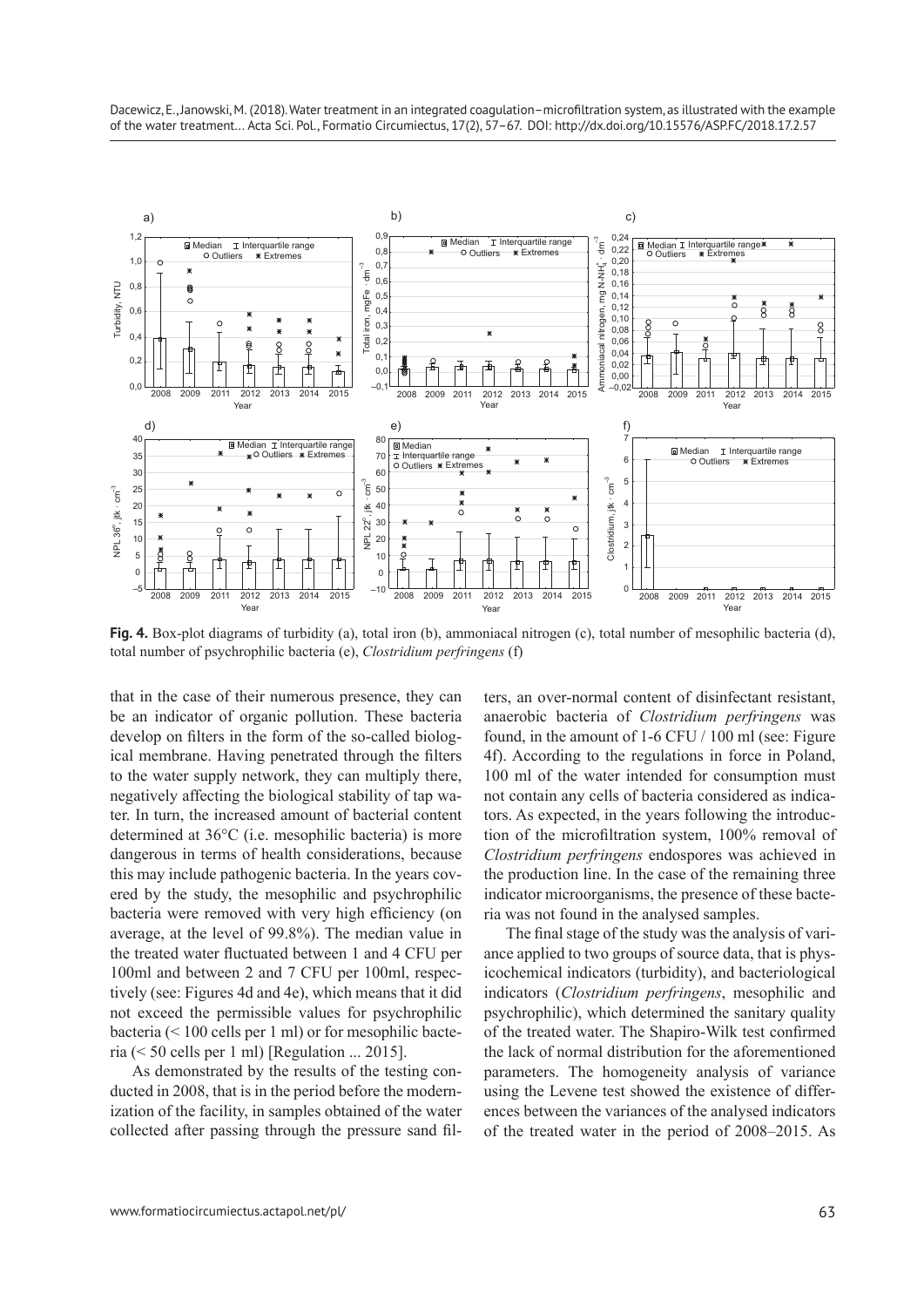

**Fig. 4.** Box-plot diagrams of turbidity (a), total iron (b), ammoniacal nitrogen (c), total number of mesophilic bacteria (d), total number of psychrophilic bacteria (e), *Clostridium perfringens* (f)

<sup>2008</sup> <sup>2009</sup> <sup>2011</sup> <sup>2012</sup> <sup>2013</sup> <sup>2014</sup> <sup>2015</sup> –10

Year Year Year

Ŧ

 $\overline{0}$ 

that in the case of their numerous presence, they can be an indicator of organic pollution. These bacteria develop on filters in the form of the so-called biological membrane. Having penetrated through the filters to the water supply network, they can multiply there, negatively affecting the biological stability of tap water. In turn, the increased amount of bacterial content determined at 36°C (i.e. mesophilic bacteria) is more dangerous in terms of health considerations, because this may include pathogenic bacteria. In the years covered by the study, the mesophilic and psychrophilic bacteria were removed with very high efficiency (on average, at the level of 99.8%). The median value in the treated water fluctuated between 1 and 4 CFU per 100ml and between 2 and 7 CFU per 100ml, respectively (see: Figures 4d and 4e), which means that it did not exceed the permissible values for psychrophilic bacteria (< 100 cells per 1 ml) or for mesophilic bacteria ( $\leq 50$  cells per 1 ml) [Regulation ... 2015].

<sup>2008</sup> <sup>2009</sup> <sup>2011</sup> <sup>2012</sup> <sup>2013</sup> <sup>2014</sup> <sup>2015</sup> –5

╓₱ П ┌₱

0

As demonstrated by the results of the testing conducted in 2008, that is in the period before the modernization of the facility, in samples obtained of the water collected after passing through the pressure sand filters, an over-normal content of disinfectant resistant, anaerobic bacteria of *Clostridium perfringens* was found, in the amount of 1-6 CFU / 100 ml (see: Figure 4f). According to the regulations in force in Poland, 100 ml of the water intended for consumption must not contain any cells of bacteria considered as indicators. As expected, in the years following the introduction of the microfiltration system, 100% removal of *Clostridium perfringens* endospores was achieved in the production line. In the case of the remaining three indicator microorganisms, the presence of these bacteria was not found in the analysed samples.

1

<sup>2008</sup> <sup>2009</sup> <sup>2011</sup> <sup>2012</sup> <sup>2013</sup> <sup>2014</sup> <sup>2015</sup> <sup>0</sup>

The final stage of the study was the analysis of variance applied to two groups of source data, that is physicochemical indicators (turbidity), and bacteriological indicators (*Clostridium perfringens*, mesophilic and psychrophilic), which determined the sanitary quality of the treated water. The Shapiro-Wilk test confirmed the lack of normal distribution for the aforementioned parameters. The homogeneity analysis of variance using the Levene test showed the existence of differences between the variances of the analysed indicators of the treated water in the period of 2008–2015. As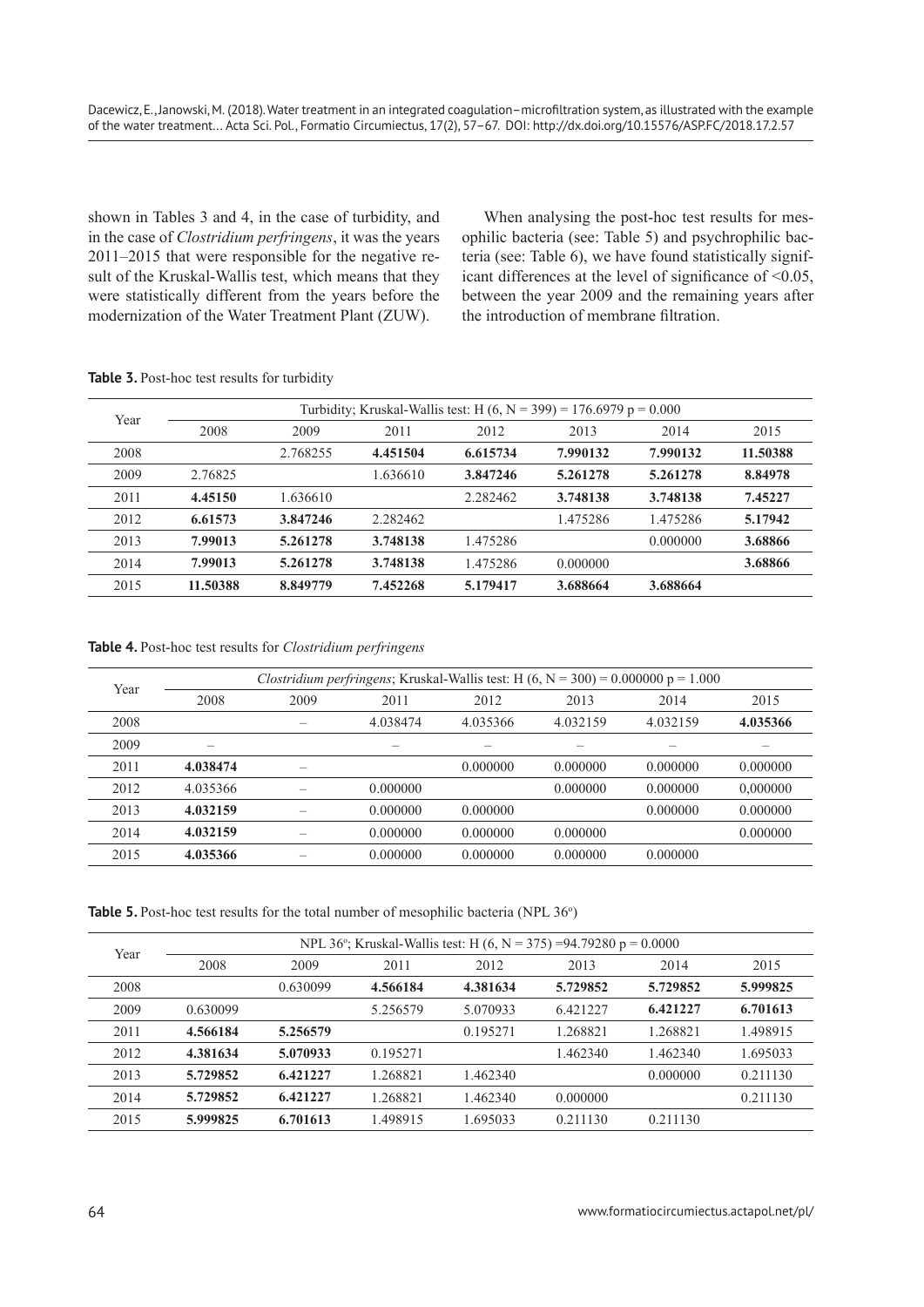shown in Tables 3 and 4, in the case of turbidity, and in the case of *Clostridium perfringens*, it was the years 2011–2015 that were responsible for the negative result of the Kruskal-Wallis test, which means that they were statistically different from the years before the modernization of the Water Treatment Plant (ZUW).

When analysing the post-hoc test results for mesophilic bacteria (see: Table 5) and psychrophilic bacteria (see: Table 6), we have found statistically significant differences at the level of significance of <0.05, between the year 2009 and the remaining years after the introduction of membrane filtration.

|  |  | Table 3. Post-hoc test results for turbidity |  |  |  |  |
|--|--|----------------------------------------------|--|--|--|--|
|--|--|----------------------------------------------|--|--|--|--|

| Year | Turbidity; Kruskal-Wallis test: H $(6, N = 399) = 176.6979$ p = 0.000 |          |          |          |          |          |          |  |
|------|-----------------------------------------------------------------------|----------|----------|----------|----------|----------|----------|--|
|      | 2008                                                                  | 2009     | 2011     | 2012     | 2013     | 2014     | 2015     |  |
| 2008 |                                                                       | 2.768255 | 4.451504 | 6.615734 | 7.990132 | 7.990132 | 11.50388 |  |
| 2009 | 2.76825                                                               |          | 1.636610 | 3.847246 | 5.261278 | 5.261278 | 8.84978  |  |
| 2011 | 4.45150                                                               | 1.636610 |          | 2.282462 | 3.748138 | 3.748138 | 7.45227  |  |
| 2012 | 6.61573                                                               | 3.847246 | 2.282462 |          | 1.475286 | 1.475286 | 5.17942  |  |
| 2013 | 7.99013                                                               | 5.261278 | 3.748138 | 1.475286 |          | 0.000000 | 3.68866  |  |
| 2014 | 7.99013                                                               | 5.261278 | 3.748138 | 1.475286 | 0.000000 |          | 3.68866  |  |
| 2015 | 11.50388                                                              | 8.849779 | 7.452268 | 5.179417 | 3.688664 | 3.688664 |          |  |

**Table 4.** Post-hoc test results for *Clostridium perfringens*

| Year | Clostridium perfringens; Kruskal-Wallis test: H $(6, N = 300) = 0.000000 p = 1.000$ |      |          |          |          |          |          |  |
|------|-------------------------------------------------------------------------------------|------|----------|----------|----------|----------|----------|--|
|      | 2008                                                                                | 2009 | 2011     | 2012     | 2013     | 2014     | 2015     |  |
| 2008 |                                                                                     |      | 4.038474 | 4.035366 | 4.032159 | 4.032159 | 4.035366 |  |
| 2009 | —                                                                                   |      |          |          |          |          |          |  |
| 2011 | 4.038474                                                                            |      |          | 0.000000 | 0.000000 | 0.000000 | 0.000000 |  |
| 2012 | 4.035366                                                                            |      | 0.000000 |          | 0.000000 | 0.000000 | 0.000000 |  |
| 2013 | 4.032159                                                                            |      | 0.000000 | 0.000000 |          | 0.000000 | 0.000000 |  |
| 2014 | 4.032159                                                                            |      | 0.000000 | 0.000000 | 0.000000 |          | 0.000000 |  |
| 2015 | 4.035366                                                                            |      | 0.000000 | 0.000000 | 0.000000 | 0.000000 |          |  |

**Table 5.** Post-hoc test results for the total number of mesophilic bacteria (NPL 36<sup>o</sup>)

| Year |          | NPL 36°; Kruskal-Wallis test: H $(6, N = 375) = 94.79280 p = 0.0000$ |          |          |          |          |          |  |  |
|------|----------|----------------------------------------------------------------------|----------|----------|----------|----------|----------|--|--|
|      | 2008     | 2009                                                                 | 2011     | 2012     | 2013     | 2014     | 2015     |  |  |
| 2008 |          | 0.630099                                                             | 4.566184 | 4.381634 | 5.729852 | 5.729852 | 5.999825 |  |  |
| 2009 | 0.630099 |                                                                      | 5.256579 | 5.070933 | 6.421227 | 6.421227 | 6.701613 |  |  |
| 2011 | 4.566184 | 5.256579                                                             |          | 0.195271 | 1.268821 | 1.268821 | 1.498915 |  |  |
| 2012 | 4.381634 | 5.070933                                                             | 0.195271 |          | 1.462340 | 1.462340 | 1.695033 |  |  |
| 2013 | 5.729852 | 6.421227                                                             | 1.268821 | 1.462340 |          | 0.000000 | 0.211130 |  |  |
| 2014 | 5.729852 | 6.421227                                                             | 1.268821 | 1.462340 | 0.000000 |          | 0.211130 |  |  |
| 2015 | 5.999825 | 6.701613                                                             | 1.498915 | 1.695033 | 0.211130 | 0.211130 |          |  |  |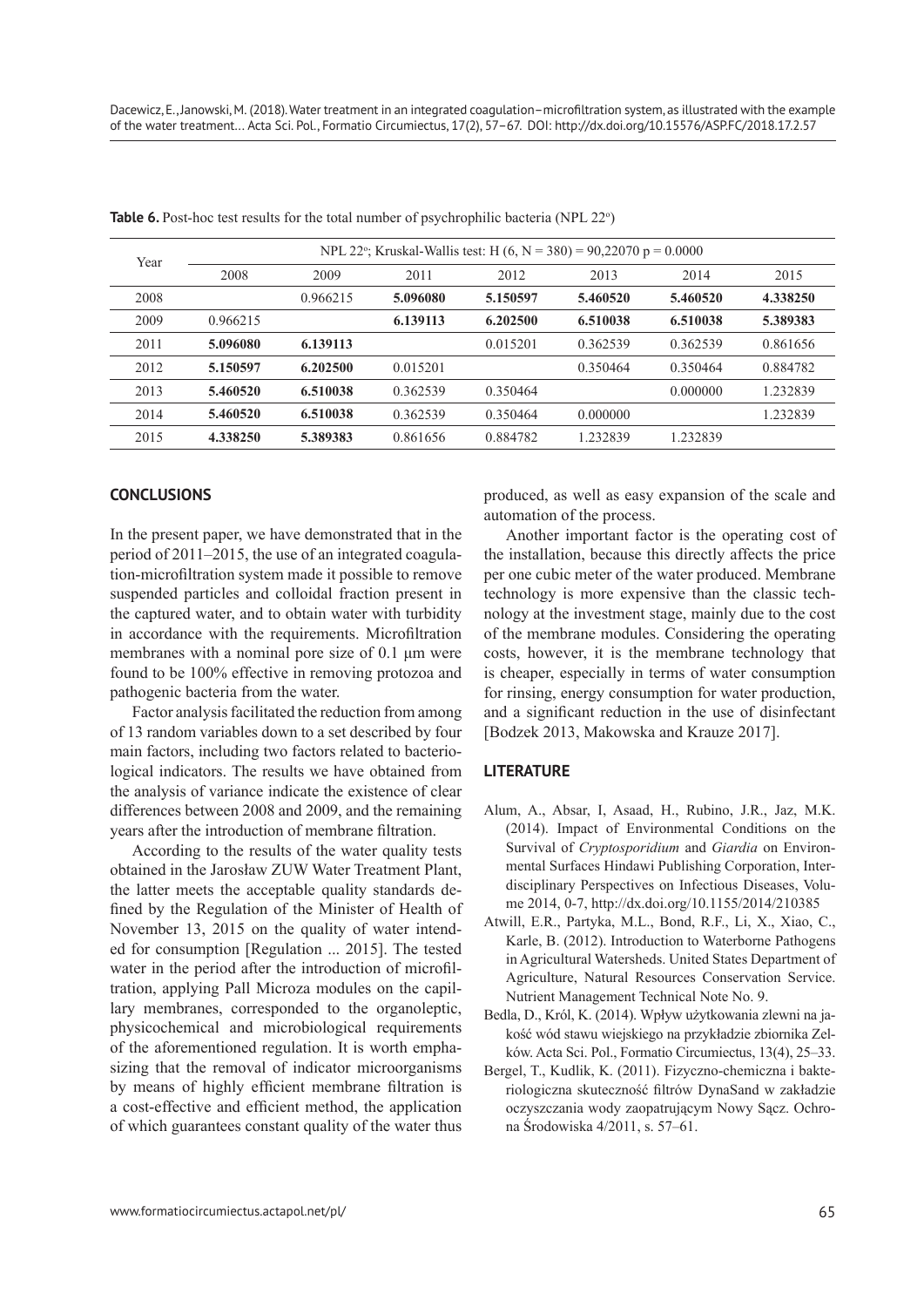| Year | NPL 22°; Kruskal-Wallis test: H (6, N = 380) = 90,22070 p = 0.0000 |          |          |          |          |          |          |  |
|------|--------------------------------------------------------------------|----------|----------|----------|----------|----------|----------|--|
|      | 2008                                                               | 2009     | 2011     | 2012     | 2013     | 2014     | 2015     |  |
| 2008 |                                                                    | 0.966215 | 5.096080 | 5.150597 | 5.460520 | 5.460520 | 4.338250 |  |
| 2009 | 0.966215                                                           |          | 6.139113 | 6.202500 | 6.510038 | 6.510038 | 5.389383 |  |
| 2011 | 5.096080                                                           | 6.139113 |          | 0.015201 | 0.362539 | 0.362539 | 0.861656 |  |
| 2012 | 5.150597                                                           | 6.202500 | 0.015201 |          | 0.350464 | 0.350464 | 0.884782 |  |
| 2013 | 5.460520                                                           | 6.510038 | 0.362539 | 0.350464 |          | 0.000000 | 1.232839 |  |
| 2014 | 5.460520                                                           | 6.510038 | 0.362539 | 0.350464 | 0.000000 |          | 1.232839 |  |
| 2015 | 4.338250                                                           | 5.389383 | 0.861656 | 0.884782 | 1.232839 | 1.232839 |          |  |

Table 6. Post-hoc test results for the total number of psychrophilic bacteria (NPL 22<sup>o</sup>)

## **CONCLUSIONS**

In the present paper, we have demonstrated that in the period of 2011–2015, the use of an integrated coagulation-microfiltration system made it possible to remove suspended particles and colloidal fraction present in the captured water, and to obtain water with turbidity in accordance with the requirements. Microfiltration membranes with a nominal pore size of 0.1 μm were found to be 100% effective in removing protozoa and pathogenic bacteria from the water.

Factor analysis facilitated the reduction from among of 13 random variables down to a set described by four main factors, including two factors related to bacteriological indicators. The results we have obtained from the analysis of variance indicate the existence of clear differences between 2008 and 2009, and the remaining years after the introduction of membrane filtration.

According to the results of the water quality tests obtained in the Jarosław ZUW Water Treatment Plant, the latter meets the acceptable quality standards defined by the Regulation of the Minister of Health of November 13, 2015 on the quality of water intended for consumption [Regulation ... 2015]. The tested water in the period after the introduction of microfiltration, applying Pall Microza modules on the capillary membranes, corresponded to the organoleptic, physicochemical and microbiological requirements of the aforementioned regulation. It is worth emphasizing that the removal of indicator microorganisms by means of highly efficient membrane filtration is a cost-effective and efficient method, the application of which guarantees constant quality of the water thus

produced, as well as easy expansion of the scale and automation of the process.

Another important factor is the operating cost of the installation, because this directly affects the price per one cubic meter of the water produced. Membrane technology is more expensive than the classic technology at the investment stage, mainly due to the cost of the membrane modules. Considering the operating costs, however, it is the membrane technology that is cheaper, especially in terms of water consumption for rinsing, energy consumption for water production, and a significant reduction in the use of disinfectant [Bodzek 2013, Makowska and Krauze 2017].

#### **LITERATURE**

- Alum, A., Absar, I, Asaad, H., Rubino, J.R., Jaz, M.K. (2014). Impact of Environmental Conditions on the Survival of *Cryptosporidium* and *Giardia* on Environmental Surfaces Hindawi Publishing Corporation, Interdisciplinary Perspectives on Infectious Diseases, Volume 2014, 0-7, http://dx.doi.org/10.1155/2014/210385
- Atwill, E.R., Partyka, M.L., Bond, R.F., Li, X., Xiao, C., Karle, B. (2012). Introduction to Waterborne Pathogens in Agricultural Watersheds. United States Department of Agriculture, Natural Resources Conservation Service. Nutrient Management Technical Note No. 9.
- Bedla, D., Król, K. (2014). Wpływ użytkowania zlewni na jakość wód stawu wiejskiego na przykładzie zbiornika Zelków. Acta Sci. Pol., Formatio Circumiectus, 13(4), 25–33.
- Bergel, T., Kudlik, K. (2011). Fizyczno-chemiczna i bakteriologiczna skuteczność filtrów DynaSand w zakładzie oczyszczania wody zaopatrującym Nowy Sącz. Ochrona Środowiska 4/2011, s. 57–61.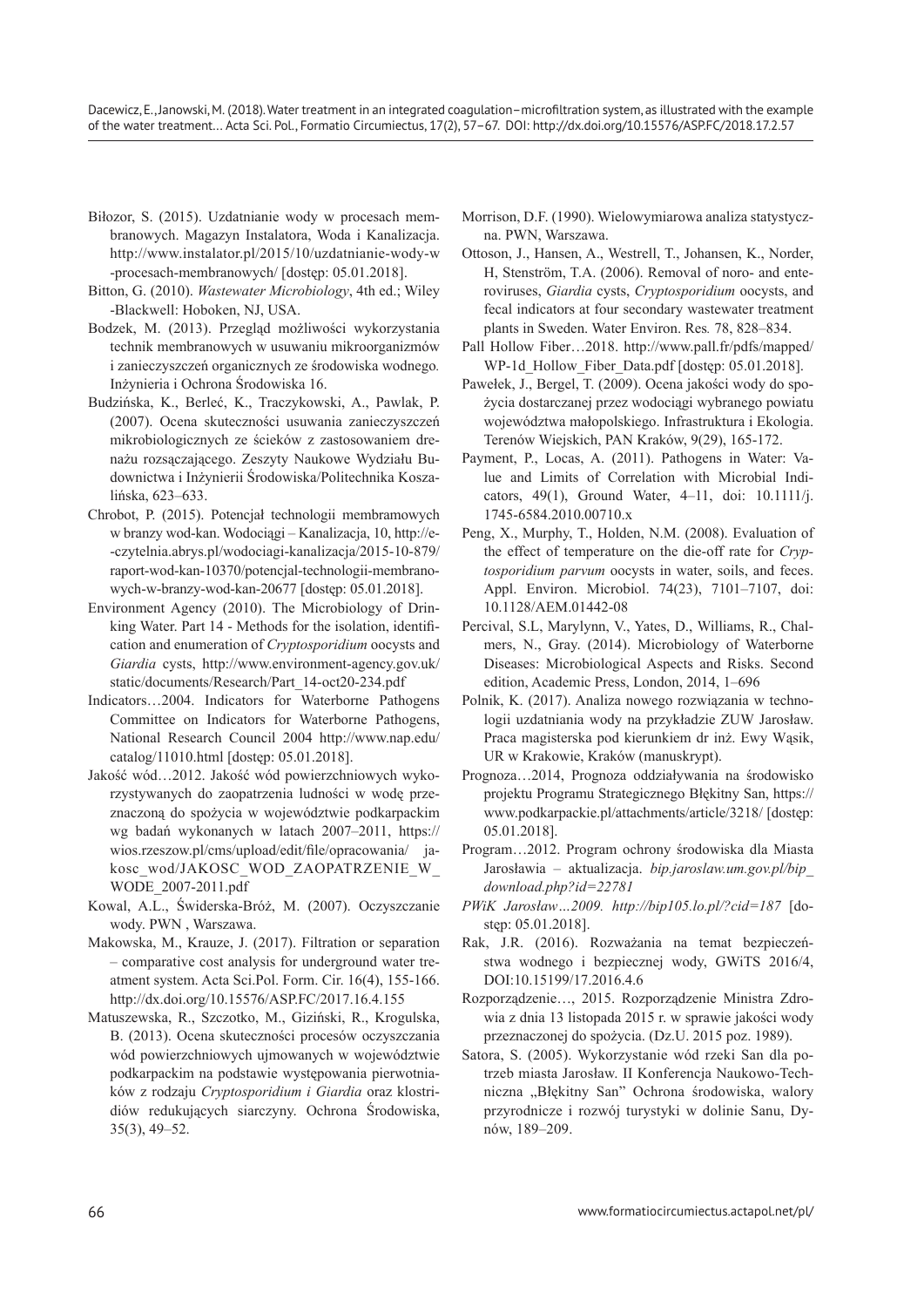Dacewicz, E., Janowski, M. (2018). Water treatment in an integrated coagulation–microfiltration system, as illustrated with the example of the water treatment... Acta Sci. Pol., Formatio Circumiectus, 17(2), 57–67. DOI: http://dx.doi.org/10.15576/ASP.FC/2018.17.2.57

- Biłozor, S. (2015). Uzdatnianie wody w procesach membranowych. Magazyn Instalatora, Woda i Kanalizacja. http://www.instalator.pl/2015/10/uzdatnianie-wody-w -procesach-membranowych/ [dostęp: 05.01.2018].
- Bitton, G. (2010). *Wastewater Microbiology*, 4th ed.; Wiley -Blackwell: Hoboken, NJ, USA.
- Bodzek, M. (2013). Przegląd możliwości wykorzystania technik membranowych w usuwaniu mikroorganizmów i zanieczyszczeń organicznych ze środowiska wodnego*.* Inżynieria i Ochrona Środowiska 16.
- Budzińska, K., Berleć, K., Traczykowski, A., Pawlak, P. (2007). Ocena skuteczności usuwania zanieczyszczeń mikrobiologicznych ze ścieków z zastosowaniem drenażu rozsączającego. Zeszyty Naukowe Wydziału Budownictwa i Inżynierii Środowiska/Politechnika Koszalińska, 623–633.
- Chrobot, P. (2015). Potencjał technologii membramowych w branzy wod-kan. Wodociągi – Kanalizacja, 10, http://e- -czytelnia.abrys.pl/wodociagi-kanalizacja/2015-10-879/ raport-wod-kan-10370/potencjal-technologii-membranowych-w-branzy-wod-kan-20677 [dostęp: 05.01.2018].
- Environment Agency (2010). The Microbiology of Drinking Water. Part 14 - Methods for the isolation, identification and enumeration of *Cryptosporidium* oocysts and *Giardia* cysts, http://www.environment-agency.gov.uk/ static/documents/Research/Part\_14-oct20-234.pdf
- Indicators…2004. Indicators for Waterborne Pathogens Committee on Indicators for Waterborne Pathogens, National Research Council 2004 http://www.nap.edu/ catalog/11010.html [dostęp: 05.01.2018].
- Jakość wód…2012. Jakość wód powierzchniowych wykorzystywanych do zaopatrzenia ludności w wodę przeznaczoną do spożycia w województwie podkarpackim wg badań wykonanych w latach 2007–2011, https:// wios.rzeszow.pl/cms/upload/edit/file/opracowania/ jakosc\_wod/JAKOSC\_WOD\_ZAOPATRZENIE\_W\_ WODE\_2007-2011.pdf
- Kowal, A.L., Świderska-Bróż, M. (2007). Oczyszczanie wody. PWN , Warszawa.
- Makowska, M., Krauze, J. (2017). Filtration or separation – comparative cost analysis for underground water treatment system. Acta Sci.Pol. Form. Cir. 16(4), 155-166. http://dx.doi.org/10.15576/ASP.FC/2017.16.4.155
- Matuszewska, R., Szczotko, M., Giziński, R., Krogulska, B. (2013). Ocena skuteczności procesów oczyszczania wód powierzchniowych ujmowanych w województwie podkarpackim na podstawie występowania pierwotniaków z rodzaju *Cryptosporidium i Giardia* oraz klostridiów redukujących siarczyny. Ochrona Środowiska, 35(3), 49–52.
- Morrison, D.F. (1990). Wielowymiarowa analiza statystyczna. PWN, Warszawa.
- Ottoson, J., Hansen, A., Westrell, T., Johansen, K., Norder, H, Stenström, T.A. (2006). Removal of noro- and enteroviruses, *Giardia* cysts, *Cryptosporidium* oocysts, and fecal indicators at four secondary wastewater treatment plants in Sweden. Water Environ. Res*.* 78, 828–834.
- Pall Hollow Fiber…2018. http://www.pall.fr/pdfs/mapped/ WP-1d Hollow Fiber Data.pdf [dostęp: 05.01.2018].
- Pawełek, J., Bergel, T. (2009). Ocena jakości wody do spożycia dostarczanej przez wodociągi wybranego powiatu województwa małopolskiego. Infrastruktura i Ekologia. Terenów Wiejskich, PAN Kraków, 9(29), 165-172.
- Payment, P., Locas, A. (2011). Pathogens in Water: Value and Limits of Correlation with Microbial Indicators, 49(1), Ground Water, 4–11, doi: 10.1111/j. 1745-6584.2010.00710.x
- Peng, X., Murphy, T., Holden, N.M. (2008). Evaluation of the effect of temperature on the die-off rate for *Cryptosporidium parvum* oocysts in water, soils, and feces. Appl. Environ. Microbiol. 74(23), 7101–7107, doi: 10.1128/AEM.01442-08
- Percival, S.L, Marylynn, V., Yates, D., Williams, R., Chalmers, N., Gray. (2014). Microbiology of Waterborne Diseases: Microbiological Aspects and Risks. Second edition, Academic Press, London, 2014, 1–696
- Polnik, K. (2017). Analiza nowego rozwiązania w technologii uzdatniania wody na przykładzie ZUW Jarosław. Praca magisterska pod kierunkiem dr inż. Ewy Wąsik, UR w Krakowie, Kraków (manuskrypt).
- Prognoza…2014, Prognoza oddziaływania na środowisko projektu Programu Strategicznego Błękitny San, https:// www.podkarpackie.pl/attachments/article/3218/ [dostęp: 05.01.2018].
- Program…2012. Program ochrony środowiska dla Miasta Jarosławia – aktualizacja. *bip.jaroslaw.um.gov.pl/bip\_ download.php?id=22781*
- *PWiK Jarosław…2009. http://bip105.lo.pl/?cid=187* [dostęp: 05.01.2018].
- Rak, J.R. (2016). Rozważania na temat bezpieczeństwa wodnego i bezpiecznej wody, GWiTS 2016/4, DOI:10.15199/17.2016.4.6
- Rozporządzenie…, 2015. Rozporządzenie Ministra Zdrowia z dnia 13 listopada 2015 r. w sprawie jakości wody przeznaczonej do spożycia. (Dz.U. 2015 poz. 1989).
- Satora, S. (2005). Wykorzystanie wód rzeki San dla potrzeb miasta Jarosław. II Konferencja Naukowo-Techniczna "Błękitny San" Ochrona środowiska, walory przyrodnicze i rozwój turystyki w dolinie Sanu, Dynów, 189–209.